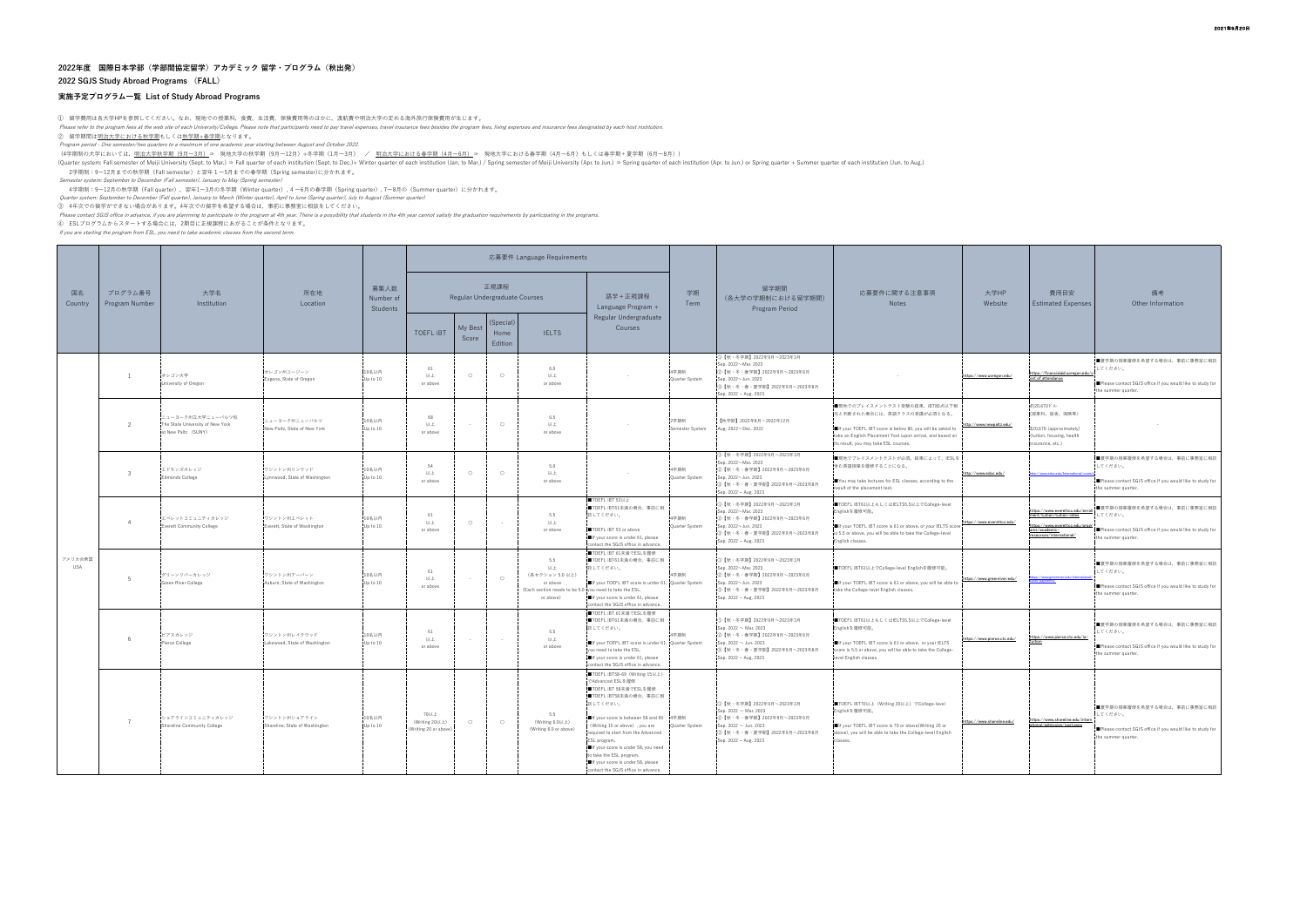## **実施予定プログラム一覧 List of Study Abroad Programs**

① 留学費用は各大学HPを参照してください。なお,現地での授業料,食費,生活費,保険費用等のほかに,渡航費や明治大学の定める海外旅行保険費用が生じます。<br>*Please refer to the program fees at the web site of each University/College. Please note that participants need to pay travel expenses, travel* 

② 留学期間は<u>明治大学における秋学期</u>もしくは<u>秋学期+春学期</u>となります。<br>*Program period - One semester/two quarters to a maximum of one academic year starting between August and October 2022*.

(4学期制の大学においては, <u>明治大学秋学期(9月~3月)</u>⇒ 現地大学の秋学期(9月~12月)+冬学期(1月~3月) / <u>明治大学における春学期(4月~6月)</u>⇒ 現地大学における春学期(4月~6月)もしくは春学期+夏学期(6月~8月))

(Quarter system: Fall semester of Meiji University (Sept. to Mar.) ⇒ Fall quarter of each institution (Sept. to Dec.)+ Winter quarter of each institution (Jan. to Mar.) / Spring semester of Meiji University (Apr. to Jun.)

2学期制:9~12月までの秋学期(Fall semester)と翌年1~5月までの春学期(Spring semester)に分かれます。

*Semester system: September to December (Fall semester), January to May (Spring semester)*<br>4学期制:: 9〜12月の秋学期(Fall quarter),翌年1〜3月の冬学期(Winter quarter),4 〜6月の春学期(Spring quarter), 7〜8月の(Summer quarter)に分かれます。<br>Quarter system:

③ 4年次での留学ができない場合があります。4年次での留学を希望する場合は,事前に事務室に相談をしてください。

*Please contact SGIS office in advance, if you are plannning to participate in the program at 4th year. There is a possibility that students in the 4th year cannot satisfy the graduation requirements by participating in* 

If you are starting the program from ESL, you need to take academic classes from the second term.

| 国名<br>Country         | プログラム番号<br>Program Number | 大学名<br>Institution                                                           | 所在地<br>Location                                | 募集人数<br>Number of<br>Students | 応募要件 Language Requirements                      |                  |                              |                                                                                                                  |                                                                                                                                                                                                                                                                                                                                                                                                      |                               |                                                                                                                                                                                   |                                                                                                                                                                                                                                |                             |                                                                                                                                               |                                                                                                                            |
|-----------------------|---------------------------|------------------------------------------------------------------------------|------------------------------------------------|-------------------------------|-------------------------------------------------|------------------|------------------------------|------------------------------------------------------------------------------------------------------------------|------------------------------------------------------------------------------------------------------------------------------------------------------------------------------------------------------------------------------------------------------------------------------------------------------------------------------------------------------------------------------------------------------|-------------------------------|-----------------------------------------------------------------------------------------------------------------------------------------------------------------------------------|--------------------------------------------------------------------------------------------------------------------------------------------------------------------------------------------------------------------------------|-----------------------------|-----------------------------------------------------------------------------------------------------------------------------------------------|----------------------------------------------------------------------------------------------------------------------------|
|                       |                           |                                                                              |                                                |                               | 正規課程<br>Regular Undergraduate Courses           |                  |                              |                                                                                                                  | 語学 + 正規課程<br>Language Program +                                                                                                                                                                                                                                                                                                                                                                      | 学期<br>Term                    | 留学期間<br>(各大学の学期制における留学期間)<br>Program Period                                                                                                                                       | 応募要件に関する注意事項<br>Notes                                                                                                                                                                                                          | 大学HP<br>Website             | 費用目安<br><b>Estimated Expenses</b>                                                                                                             | 備考<br>Other Information                                                                                                    |
|                       |                           |                                                                              |                                                |                               | <b>TOEFL IBT</b>                                | My Best<br>Score | (Special)<br>Home<br>Edition | <b>IELTS</b>                                                                                                     | Regular Undergraduate<br>Courses                                                                                                                                                                                                                                                                                                                                                                     |                               |                                                                                                                                                                                   |                                                                                                                                                                                                                                |                             |                                                                                                                                               |                                                                                                                            |
| アメリカ合衆国<br><b>USA</b> |                           | オレゴン大学<br>Jniversity of Oregon                                               | オレゴン州ユージーン<br>Eugene, State of Oregon          | 10名以内<br>Up to 10             | 61<br>以上<br>or above                            | $\circ$          | $\circ$                      | 6.0<br>以上<br>or above                                                                                            |                                                                                                                                                                                                                                                                                                                                                                                                      | 4学期制<br>Quarter System        | 1 【秋·冬学期】2022年9月~2023年3月<br>Sep. 2022~Mar. 2023<br>2 【秋・冬・春学期】2022年9月~2023年6月<br>Sep. 2022~Jun. 2023<br>3【秋・冬・春・夏学期】2022年9月~2023年8月<br>Sep. 2022 ~ Aug. 2023                      |                                                                                                                                                                                                                                | https://www.uoregon.edu/    | https://financialaid.uoregon.edu/cost of attendance                                                                                           | ■夏学期の授業履修を希望する場合は、事前に事務室に相談<br>してください。<br>Please contact SGJS office if you would like to study for<br>the summer quarter. |
|                       | $\overline{z}$            | ニューヨーク州立大学ニューバルツ校<br>The State University of New York<br>at New Paltz (SUNY) | ニューヨーク州ニューバルツ<br>New Paltz, State of New York  | 10名以内<br>Up to 10             | 68<br>以上<br>or above                            | $\sim$           | $\bigcirc$                   | 6.5<br>以上<br>or above                                                                                            |                                                                                                                                                                                                                                                                                                                                                                                                      | 2学期制<br>Semester System       | 【秋学期】2022年8月~2022年12月<br>Aug. 2022~Dec. 2022                                                                                                                                      | ■現地でのプレイスメントテスト受験の結果、iBT80点以下相<br>当と判断された場合には、英語クラスの受講が必須となる。<br>If your TOEFL IBT score is below 80, you will be asked to<br>ake an English Placement Test iupon arrival, and based on<br>s result, you may take ESL courses. | http://www.newpaltz.edu/    | 約20,670ドル<br>(授業料、宿舎、保険等)<br>\$20,670 (approximately)<br>tuition, housing, health<br>surance, etc.)                                           |                                                                                                                            |
|                       | $\mathbf{3}$              | エドモンズカレッジ<br>Edmonds College                                                 | ワシントン州リンウッド<br>Lynnwood, State of Washington   | 10名以内<br>Up to 10             | 54<br>以上<br>or above                            | $\circ$          | $\circ$                      | 5.0<br>以上<br>or above                                                                                            |                                                                                                                                                                                                                                                                                                                                                                                                      | 4学期制<br><b>Ouarter System</b> | D【秋・冬学期】2022年9月~2023年3月<br>Sep. 2022~Mar. 2023<br>②【秋・冬・春学期】2022年9月~2023年6月<br>Sep. 2022~Jun. 2023<br>③【秋・冬・春・夏学期】2022年9月~2023年8月<br>Sep. 2022 ~ Aug. 2023                        | ■現地でプレイスメントテストが必須。結果によって、IESLを<br>含む英語授業を履修することになる。<br>You may take lectures for ESL classes, according to the<br>result of the placement test.                                                                                | http://www.edcc.edu/        | tp://www.edcc.edu/International/or                                                                                                            | ■夏学期の授業履修を希望する場合は、事前に事務室に相談<br>してください。<br>Please contact SGJS office if you would like to study for<br>the summer quarter. |
|                       | $\overline{4}$            | エベレットコミュニティカレッジ<br>Everett Community College                                 | ワシントン州エベレット<br>Everett, State of Washington    | 10名以内<br>Up to 10             | 61<br>以上<br>or above                            | $\circ$          |                              | 5.5<br>以上<br>or above                                                                                            | TOEFL IBT 53以上<br>■TOEFL iBT61未満の場合、事前に相<br>談してください。<br>TOEFL IBT 53 or above<br>If your score is under 61, please<br>contact the SGJS office in advance.                                                                                                                                                                                                                                            | 4学期制<br>Quarter System        | D【秋・冬学期】2022年9月~2023年3月<br>Sep. 2022~Mar. 2023<br>②【秋・冬・春学期】2022年9月~2023年6月<br>Sep. 2022~Jun. 2023<br>3【秋·冬·春·夏学期】2022年9月~2023年8月<br>Sep. 2022 ~ Aug. 2023                        | ■TOEFL iBT61以上もしくはIELTS5.5以上でCollege-level<br>Englishを履修可能。<br>If your TOEFL IBT score is 61 or above, or your IELTS score<br>is 5.5 or above, you will be able to take the College-level<br>English classes.                  | https://www.everettcc.edu/  | https://www.everettcc.edu/enroll<br>ment/tuition/tuition-rates<br>ttps://www.everettcc.edu/progr<br>ams/academic=<br>resources/international/ | ■夏学期の授業履修を希望する場合は、事前に事務室に相談<br>てください。<br>Please contact SGJS office if you would like to study for<br>the summer quarter.  |
|                       |                           | グリーンリバーカレッジ<br>Green River College                                           | ワシントン州アーバーン<br>Auburn, State of Washington     | 10名以内<br>Up to 10             | 61<br>以上<br>or above                            | $\sim$           | $\bigcirc$                   | 5.5<br>以上<br>(各セクション 5.0 以上)<br>or above<br>(Each section needs to be 5.0 you need to take the ESL.<br>or above) | ■TOEFL iBT 61未満でESLを履修<br>■TOEFL iBT61未満の場合、事前に相<br>談してください。<br>If your TOEFL IBT score is under 61, Quarter System<br>If your score is under 61, please<br>contact the SGJS office in advance.                                                                                                                                                                                                      | 4学期制                          | ①【秋·冬学期】2022年9月~2023年3月<br>Sep. 2022~Mar. 2023<br>②【秋・冬・春学期】2022年9月~2023年6月<br>Sep. 2022~Jun. 2023<br>3【秋・冬・春・夏学期】2022年9月~2023年8月<br>Sep. 2022 ~ Aug. 2023                        | ■TOEFL iBT61以上でCollege-level Englishを履修可能。<br>If your TOEFL IBT score is 61 or above, you will be able to<br>take the College-level English classes.                                                                           | https://www.greenriver.edu/ | tps://www.greenriver.edu/internat                                                                                                             | ■夏学期の授業履修を希望する場合は、事前に事務室に相談<br>してください。<br>Please contact SGJS office if you would like to study for<br>the summer quarter. |
|                       |                           | ピアスカレッジ<br>Pierce College                                                    | ワシントン州レイクウッド<br>Lakewood, State of Washington  | 10名以内<br>Up to 10             | 61<br>以上<br>or above                            | $\sim$ $\sim$    |                              | 5.5<br>以上<br>or above                                                                                            | ■TOEFL iBT 61未満でESLを履修<br>■TOEFL iBT61未満の場合、事前に相<br>談してください。<br>If your TOEFL IBT score is under 61, Quarter System<br>you need to take the ESL.<br>If your score is under 61, please<br>contact the SGJS office in advance.                                                                                                                                                                         | 4学期制                          | 1 【秋·冬学期】2022年9月~2023年3月<br>Sep. 2022 $\sim$ Mar. 2023<br>②【秋・冬・春学期】2022年9月~2023年6月<br>Sep. 2022 ~ Jun. 2023<br>③【秋・冬・春・夏学期】2022年9月~2023年8月<br>Sep. 2022 ~ Aug. 2023              | ■TOEFL iBT61以上もしくはIELTS5.5以上でCollege-level<br>Englishを履修可能。<br>If your TOEFL IBT score is 61 or above, or your IELTS<br>core is 5.5 or above, you will be able to take the College-<br>evel English classes.                   | https://www.pierce.ctc.edu/ | https://www.pierce.ctc.edu/ie-                                                                                                                | ■夏学期の授業履修を希望する場合は、事前に事務室に相談<br>してください。<br>Please contact SGJS office if you would like to study for<br>the summer quarter. |
|                       | -7                        | ンョアラインコミュニティカレッジ<br>Shoreline Community College                              | ワシントン州ショアライン<br>Shoreline, State of Washington | 10名以内<br>Up to 10             | 70以上<br>(Writing 20以上)<br>(Writing 20 or above) | $\circ$          | $\circ$                      | 5.5<br>(Writing 6.0以上)<br>(Writing 6.0 or above)                                                                 | ■TOEFL iBT58-69 (Writing 15以上)<br>でAdvanced ESLを履修<br>■TOEFL iBT 58未満でESLを履修<br>■TOEFL iBT58未満の場合、事前に相<br>談してください。<br>■If your score is between 58 and 69 4学期制<br>(Writing 15 or above), you are<br>equired to start from the Advanced<br>ESL program.<br>If your score is under 58, you need<br>o take the ESL program.<br>If your score is under 58, please<br>contact the SGJS office in advance. | Quarter System                | 1【秋·冬学期】2022年9月~2023年3月<br>$\frac{1}{2}$ ep. 2022 ~ Mar. 2023<br>2)【秋・冬・春学期】2022年9月~2023年6月<br>Sep. 2022 $\sim$ Jun. 2023<br>③【秋・冬・春・夏学期】2022年9月~2023年8月<br>Sep. 2022 ~ Aug. 2023 | ■TOEFL iBT70以上 (Writing 20以上) でCollege-level<br>Englishを履修可能。<br>If your TOEFL IBT score is 70 or above(Writing 20 or<br>above), you will be able to take the College-level English<br>classes.                                | https://www.shoreline.edu/  | https://www.shoreline.edu/intern<br>ational/admission/cost.aspx                                                                               | ■夏学期の授業履修を希望する場合は、事前に事務室に相談<br>してください。<br>Please contact SGJS office if you would like to study for<br>the summer quarter. |

## **2022年度 国際日本学部(学部間協定留学)アカデミック 留学・プログラム(秋出発) 2022 SGJS Study Abroad Programs (FALL)**